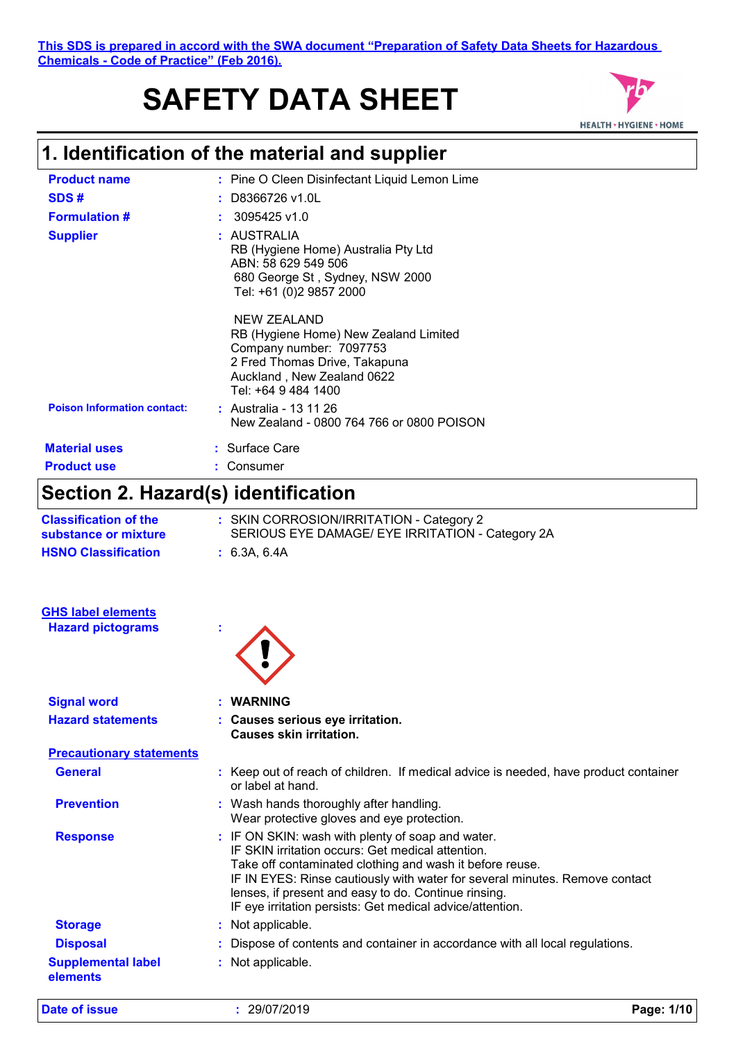#### **This SDS is prepared in accord with the SWA document "Preparation of Safety Data Sheets for Hazardous Chemicals - Code of Practice" (Feb 2016).**

# **SAFETY DATA SHEET**



# **1. Identification of the material and supplier**

| <b>Product name</b>                | : Pine O Cleen Disinfectant Liquid Lemon Lime                                                                                                                         |
|------------------------------------|-----------------------------------------------------------------------------------------------------------------------------------------------------------------------|
| SDS#                               | $:$ D8366726 v1.0L                                                                                                                                                    |
| <b>Formulation #</b>               | $: 3095425$ v1.0                                                                                                                                                      |
| <b>Supplier</b>                    | : AUSTRALIA<br>RB (Hygiene Home) Australia Pty Ltd<br>ABN: 58 629 549 506<br>680 George St, Sydney, NSW 2000<br>Tel: +61 (0)2 9857 2000                               |
|                                    | NEW ZEALAND<br>RB (Hygiene Home) New Zealand Limited<br>Company number: 7097753<br>2 Fred Thomas Drive, Takapuna<br>Auckland, New Zealand 0622<br>Tel: +64 9 484 1400 |
| <b>Poison Information contact:</b> | : Australia - 13 11 26<br>New Zealand - 0800 764 766 or 0800 POISON                                                                                                   |
| <b>Material uses</b>               | : Surface Care                                                                                                                                                        |
| <b>Product use</b>                 | : Consumer                                                                                                                                                            |

# **Section 2. Hazard(s) identification**

| <b>Classification of the</b><br>substance or mixture | : SKIN CORROSION/IRRITATION - Category 2<br>SERIOUS EYE DAMAGE/ EYE IRRITATION - Category 2A                                                                                                                                                                                                                                                                           |
|------------------------------------------------------|------------------------------------------------------------------------------------------------------------------------------------------------------------------------------------------------------------------------------------------------------------------------------------------------------------------------------------------------------------------------|
| <b>HSNO Classification</b>                           | : 6.3A, 6.4A                                                                                                                                                                                                                                                                                                                                                           |
| <b>GHS label elements</b>                            |                                                                                                                                                                                                                                                                                                                                                                        |
| <b>Hazard pictograms</b>                             |                                                                                                                                                                                                                                                                                                                                                                        |
| <b>Signal word</b>                                   | <b>WARNING</b>                                                                                                                                                                                                                                                                                                                                                         |
| <b>Hazard statements</b>                             | : Causes serious eye irritation.<br><b>Causes skin irritation.</b>                                                                                                                                                                                                                                                                                                     |
| <b>Precautionary statements</b>                      |                                                                                                                                                                                                                                                                                                                                                                        |
| <b>General</b>                                       | : Keep out of reach of children. If medical advice is needed, have product container<br>or label at hand.                                                                                                                                                                                                                                                              |
| <b>Prevention</b>                                    | : Wash hands thoroughly after handling.<br>Wear protective gloves and eye protection.                                                                                                                                                                                                                                                                                  |
| <b>Response</b>                                      | : IF ON SKIN: wash with plenty of soap and water.<br>IF SKIN irritation occurs: Get medical attention.<br>Take off contaminated clothing and wash it before reuse.<br>IF IN EYES: Rinse cautiously with water for several minutes. Remove contact<br>lenses, if present and easy to do. Continue rinsing.<br>IF eye irritation persists: Get medical advice/attention. |
| <b>Storage</b>                                       | : Not applicable.                                                                                                                                                                                                                                                                                                                                                      |
| <b>Disposal</b>                                      | : Dispose of contents and container in accordance with all local regulations.                                                                                                                                                                                                                                                                                          |
| <b>Supplemental label</b><br>elements                | : Not applicable.                                                                                                                                                                                                                                                                                                                                                      |

**Date of issue :** 29/07/2019 **Page: 1/10**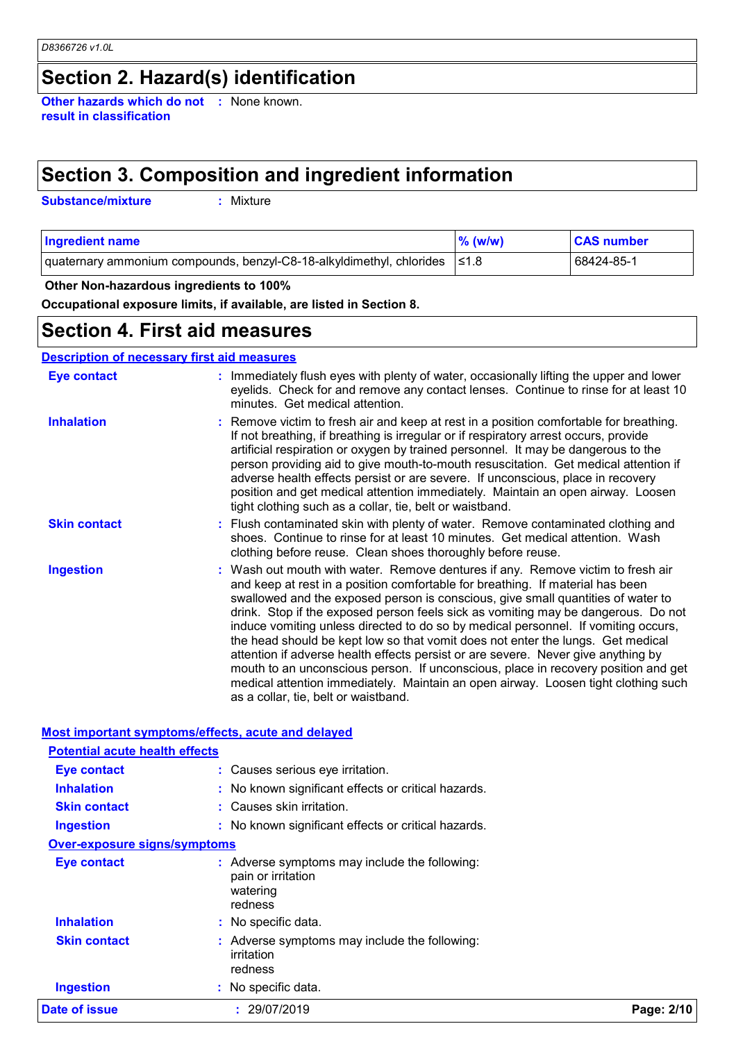# **Section 2. Hazard(s) identification**

**Other hazards which do not :** None known. **result in classification**

# **Section 3. Composition and ingredient information**

**Substance/mixture :**

: Mixture

| <b>Ingredient name</b>                                                          | $\%$ (w/w) | <b>CAS number</b> |
|---------------------------------------------------------------------------------|------------|-------------------|
| quaternary ammonium compounds, benzyl-C8-18-alkyldimethyl, chlorides $\leq 1.8$ |            | 68424-85-1        |

#### **Other Non-hazardous ingredients to 100%**

**Occupational exposure limits, if available, are listed in Section 8.**

### **Section 4. First aid measures**

#### **Description of necessary first aid measures**

| <b>Eye contact</b>  | : Immediately flush eyes with plenty of water, occasionally lifting the upper and lower<br>eyelids. Check for and remove any contact lenses. Continue to rinse for at least 10<br>minutes. Get medical attention.                                                                                                                                                                                                                                                                                                                                                                                                                                                                                                                                                                                                            |
|---------------------|------------------------------------------------------------------------------------------------------------------------------------------------------------------------------------------------------------------------------------------------------------------------------------------------------------------------------------------------------------------------------------------------------------------------------------------------------------------------------------------------------------------------------------------------------------------------------------------------------------------------------------------------------------------------------------------------------------------------------------------------------------------------------------------------------------------------------|
| <b>Inhalation</b>   | : Remove victim to fresh air and keep at rest in a position comfortable for breathing.<br>If not breathing, if breathing is irregular or if respiratory arrest occurs, provide<br>artificial respiration or oxygen by trained personnel. It may be dangerous to the<br>person providing aid to give mouth-to-mouth resuscitation. Get medical attention if<br>adverse health effects persist or are severe. If unconscious, place in recovery<br>position and get medical attention immediately. Maintain an open airway. Loosen<br>tight clothing such as a collar, tie, belt or waistband.                                                                                                                                                                                                                                 |
| <b>Skin contact</b> | : Flush contaminated skin with plenty of water. Remove contaminated clothing and<br>shoes. Continue to rinse for at least 10 minutes. Get medical attention. Wash<br>clothing before reuse. Clean shoes thoroughly before reuse.                                                                                                                                                                                                                                                                                                                                                                                                                                                                                                                                                                                             |
| <b>Ingestion</b>    | : Wash out mouth with water. Remove dentures if any. Remove victim to fresh air<br>and keep at rest in a position comfortable for breathing. If material has been<br>swallowed and the exposed person is conscious, give small quantities of water to<br>drink. Stop if the exposed person feels sick as vomiting may be dangerous. Do not<br>induce vomiting unless directed to do so by medical personnel. If vomiting occurs,<br>the head should be kept low so that vomit does not enter the lungs. Get medical<br>attention if adverse health effects persist or are severe. Never give anything by<br>mouth to an unconscious person. If unconscious, place in recovery position and get<br>medical attention immediately. Maintain an open airway. Loosen tight clothing such<br>as a collar, tie, belt or waistband. |

#### **Most important symptoms/effects, acute and delayed**

| Date of issue                         | : 29/07/2019                                                                               | Page: 2/10 |
|---------------------------------------|--------------------------------------------------------------------------------------------|------------|
| <b>Ingestion</b>                      | : No specific data.                                                                        |            |
| <b>Skin contact</b>                   | Adverse symptoms may include the following:<br>irritation<br>redness                       |            |
| <b>Inhalation</b>                     | : No specific data.                                                                        |            |
| <b>Eye contact</b>                    | : Adverse symptoms may include the following:<br>pain or irritation<br>watering<br>redness |            |
| <b>Over-exposure signs/symptoms</b>   |                                                                                            |            |
| <b>Ingestion</b>                      | : No known significant effects or critical hazards.                                        |            |
| <b>Skin contact</b>                   | : Causes skin irritation.                                                                  |            |
| <b>Inhalation</b>                     | : No known significant effects or critical hazards.                                        |            |
| Eye contact                           | : Causes serious eye irritation.                                                           |            |
| <b>Potential acute health effects</b> |                                                                                            |            |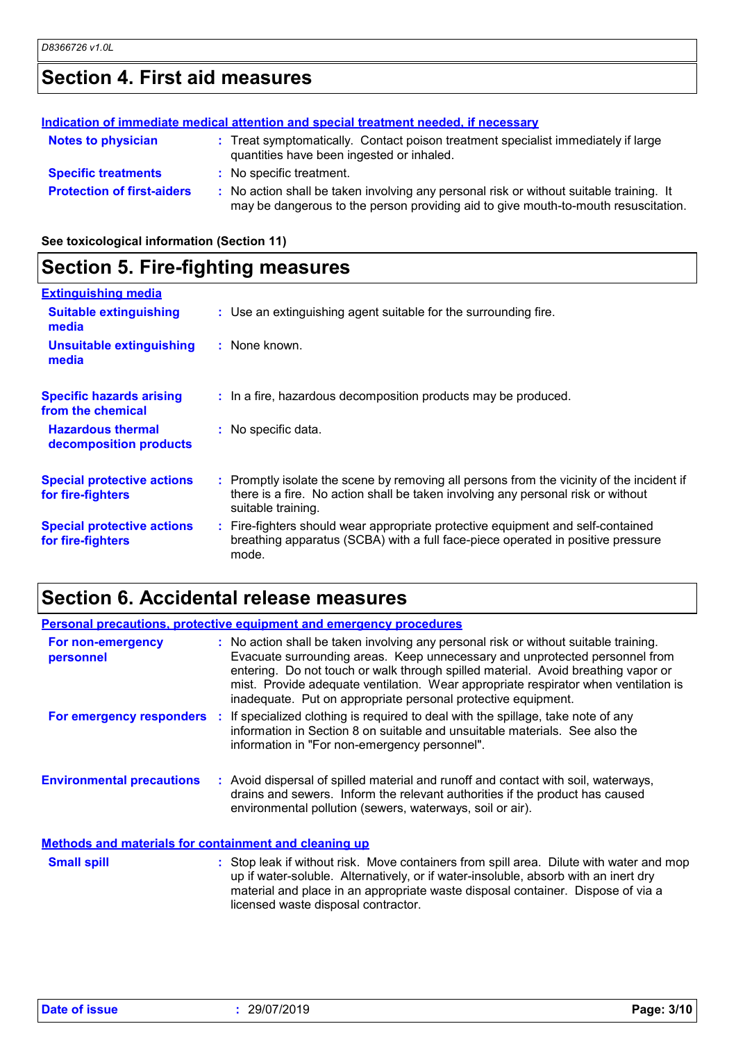# **Section 4. First aid measures**

|                                   | Indication of immediate medical attention and special treatment needed, if necessary                                                                                          |
|-----------------------------------|-------------------------------------------------------------------------------------------------------------------------------------------------------------------------------|
| <b>Notes to physician</b>         | : Treat symptomatically. Contact poison treatment specialist immediately if large<br>quantities have been ingested or inhaled.                                                |
| <b>Specific treatments</b>        | : No specific treatment.                                                                                                                                                      |
| <b>Protection of first-aiders</b> | : No action shall be taken involving any personal risk or without suitable training. It<br>may be dangerous to the person providing aid to give mouth-to-mouth resuscitation. |

**See toxicological information (Section 11)**

# **Section 5. Fire-fighting measures**

| <b>Extinguishing media</b>                             |                                                                                                                                                                                                     |
|--------------------------------------------------------|-----------------------------------------------------------------------------------------------------------------------------------------------------------------------------------------------------|
| <b>Suitable extinguishing</b><br>media                 | : Use an extinguishing agent suitable for the surrounding fire.                                                                                                                                     |
| <b>Unsuitable extinguishing</b><br>media               | : None known.                                                                                                                                                                                       |
| <b>Specific hazards arising</b><br>from the chemical   | : In a fire, hazardous decomposition products may be produced.                                                                                                                                      |
| <b>Hazardous thermal</b><br>decomposition products     | : No specific data.                                                                                                                                                                                 |
| <b>Special protective actions</b><br>for fire-fighters | : Promptly isolate the scene by removing all persons from the vicinity of the incident if<br>there is a fire. No action shall be taken involving any personal risk or without<br>suitable training. |
| <b>Special protective actions</b><br>for fire-fighters | : Fire-fighters should wear appropriate protective equipment and self-contained<br>breathing apparatus (SCBA) with a full face-piece operated in positive pressure<br>mode.                         |

# **Section 6. Accidental release measures**

| <b>Personal precautions, protective equipment and emergency procedures</b> |  |                                                                                                                                                                                                                                                                                                                                                                                                                  |
|----------------------------------------------------------------------------|--|------------------------------------------------------------------------------------------------------------------------------------------------------------------------------------------------------------------------------------------------------------------------------------------------------------------------------------------------------------------------------------------------------------------|
| For non-emergency<br>personnel                                             |  | : No action shall be taken involving any personal risk or without suitable training.<br>Evacuate surrounding areas. Keep unnecessary and unprotected personnel from<br>entering. Do not touch or walk through spilled material. Avoid breathing vapor or<br>mist. Provide adequate ventilation. Wear appropriate respirator when ventilation is<br>inadequate. Put on appropriate personal protective equipment. |
|                                                                            |  | <b>For emergency responders</b> : If specialized clothing is required to deal with the spillage, take note of any<br>information in Section 8 on suitable and unsuitable materials. See also the<br>information in "For non-emergency personnel".                                                                                                                                                                |
| <b>Environmental precautions</b>                                           |  | : Avoid dispersal of spilled material and runoff and contact with soil, waterways,<br>drains and sewers. Inform the relevant authorities if the product has caused<br>environmental pollution (sewers, waterways, soil or air).                                                                                                                                                                                  |
| <b>Methods and materials for containment and cleaning up</b>               |  |                                                                                                                                                                                                                                                                                                                                                                                                                  |
| <b>Small spill</b>                                                         |  | : Stop leak if without risk. Move containers from spill area. Dilute with water and mop<br>up if water-soluble. Alternatively, or if water-insoluble, absorb with an inert dry<br>material and place in an appropriate waste disposal container. Dispose of via a<br>licensed waste disposal contractor.                                                                                                         |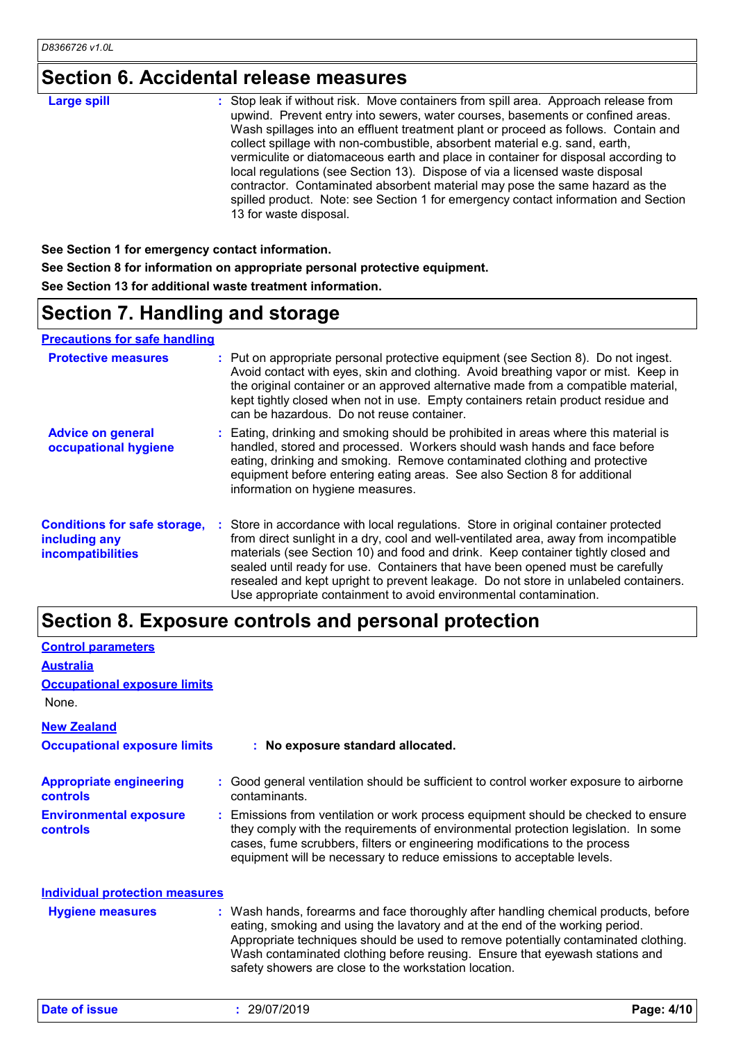# **Section 6. Accidental release measures**

| <b>Large spill</b> | : Stop leak if without risk. Move containers from spill area. Approach release from<br>upwind. Prevent entry into sewers, water courses, basements or confined areas.<br>Wash spillages into an effluent treatment plant or proceed as follows. Contain and<br>collect spillage with non-combustible, absorbent material e.g. sand, earth,<br>vermiculite or diatomaceous earth and place in container for disposal according to<br>local regulations (see Section 13). Dispose of via a licensed waste disposal<br>contractor. Contaminated absorbent material may pose the same hazard as the<br>spilled product. Note: see Section 1 for emergency contact information and Section |
|--------------------|---------------------------------------------------------------------------------------------------------------------------------------------------------------------------------------------------------------------------------------------------------------------------------------------------------------------------------------------------------------------------------------------------------------------------------------------------------------------------------------------------------------------------------------------------------------------------------------------------------------------------------------------------------------------------------------|
|                    | 13 for waste disposal.                                                                                                                                                                                                                                                                                                                                                                                                                                                                                                                                                                                                                                                                |

**See Section 1 for emergency contact information. See Section 8 for information on appropriate personal protective equipment. See Section 13 for additional waste treatment information.**

# **Section 7. Handling and storage**

**Precautions for safe handling**

| <b>Protective measures</b>                                                       | : Put on appropriate personal protective equipment (see Section 8). Do not ingest.<br>Avoid contact with eyes, skin and clothing. Avoid breathing vapor or mist. Keep in<br>the original container or an approved alternative made from a compatible material,<br>kept tightly closed when not in use. Empty containers retain product residue and<br>can be hazardous. Do not reuse container.                                                                                                               |
|----------------------------------------------------------------------------------|---------------------------------------------------------------------------------------------------------------------------------------------------------------------------------------------------------------------------------------------------------------------------------------------------------------------------------------------------------------------------------------------------------------------------------------------------------------------------------------------------------------|
| <b>Advice on general</b><br>occupational hygiene                                 | : Eating, drinking and smoking should be prohibited in areas where this material is<br>handled, stored and processed. Workers should wash hands and face before<br>eating, drinking and smoking. Remove contaminated clothing and protective<br>equipment before entering eating areas. See also Section 8 for additional<br>information on hygiene measures.                                                                                                                                                 |
| <b>Conditions for safe storage,</b><br>including any<br><b>incompatibilities</b> | : Store in accordance with local regulations. Store in original container protected<br>from direct sunlight in a dry, cool and well-ventilated area, away from incompatible<br>materials (see Section 10) and food and drink. Keep container tightly closed and<br>sealed until ready for use. Containers that have been opened must be carefully<br>resealed and kept upright to prevent leakage. Do not store in unlabeled containers.<br>Use appropriate containment to avoid environmental contamination. |

### **Section 8. Exposure controls and personal protection**

| <b>Control parameters</b>                         |                                                                                                                                                                                                                                                                                                                                                                                                   |
|---------------------------------------------------|---------------------------------------------------------------------------------------------------------------------------------------------------------------------------------------------------------------------------------------------------------------------------------------------------------------------------------------------------------------------------------------------------|
| <b>Australia</b>                                  |                                                                                                                                                                                                                                                                                                                                                                                                   |
| <b>Occupational exposure limits</b>               |                                                                                                                                                                                                                                                                                                                                                                                                   |
| None.                                             |                                                                                                                                                                                                                                                                                                                                                                                                   |
| <b>New Zealand</b>                                |                                                                                                                                                                                                                                                                                                                                                                                                   |
| <b>Occupational exposure limits</b>               | : No exposure standard allocated.                                                                                                                                                                                                                                                                                                                                                                 |
| <b>Appropriate engineering</b><br><b>controls</b> | : Good general ventilation should be sufficient to control worker exposure to airborne<br>contaminants.                                                                                                                                                                                                                                                                                           |
| <b>Environmental exposure</b><br><b>controls</b>  | : Emissions from ventilation or work process equipment should be checked to ensure<br>they comply with the requirements of environmental protection legislation. In some<br>cases, fume scrubbers, filters or engineering modifications to the process<br>equipment will be necessary to reduce emissions to acceptable levels.                                                                   |
| <b>Individual protection measures</b>             |                                                                                                                                                                                                                                                                                                                                                                                                   |
| <b>Hygiene measures</b>                           | : Wash hands, forearms and face thoroughly after handling chemical products, before<br>eating, smoking and using the lavatory and at the end of the working period.<br>Appropriate techniques should be used to remove potentially contaminated clothing.<br>Wash contaminated clothing before reusing. Ensure that eyewash stations and<br>safety showers are close to the workstation location. |

**Date of issue :** 29/07/2019 **Page: 4/10**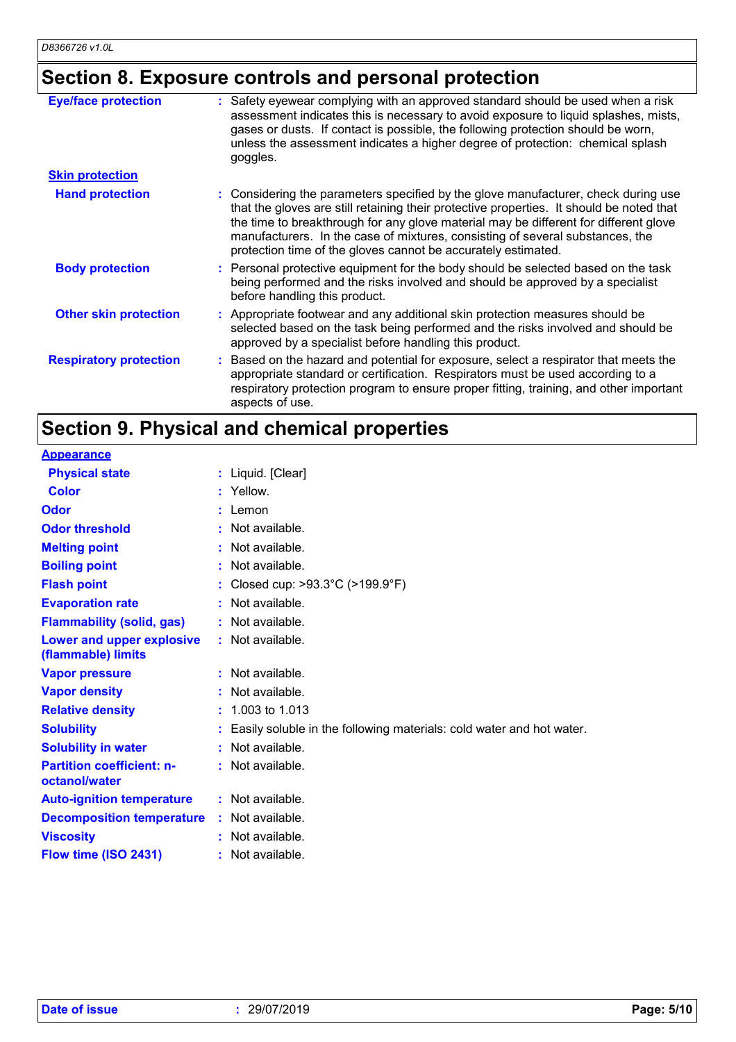# **Section 8. Exposure controls and personal protection**

| <b>Eye/face protection</b><br><b>Skin protection</b> | Safety eyewear complying with an approved standard should be used when a risk<br>assessment indicates this is necessary to avoid exposure to liquid splashes, mists,<br>gases or dusts. If contact is possible, the following protection should be worn,<br>unless the assessment indicates a higher degree of protection: chemical splash<br>goggles.                                                                   |
|------------------------------------------------------|--------------------------------------------------------------------------------------------------------------------------------------------------------------------------------------------------------------------------------------------------------------------------------------------------------------------------------------------------------------------------------------------------------------------------|
|                                                      |                                                                                                                                                                                                                                                                                                                                                                                                                          |
| <b>Hand protection</b>                               | : Considering the parameters specified by the glove manufacturer, check during use<br>that the gloves are still retaining their protective properties. It should be noted that<br>the time to breakthrough for any glove material may be different for different glove<br>manufacturers. In the case of mixtures, consisting of several substances, the<br>protection time of the gloves cannot be accurately estimated. |
| <b>Body protection</b>                               | : Personal protective equipment for the body should be selected based on the task<br>being performed and the risks involved and should be approved by a specialist<br>before handling this product.                                                                                                                                                                                                                      |
| <b>Other skin protection</b>                         | : Appropriate footwear and any additional skin protection measures should be<br>selected based on the task being performed and the risks involved and should be<br>approved by a specialist before handling this product.                                                                                                                                                                                                |
| <b>Respiratory protection</b>                        | : Based on the hazard and potential for exposure, select a respirator that meets the<br>appropriate standard or certification. Respirators must be used according to a<br>respiratory protection program to ensure proper fitting, training, and other important<br>aspects of use.                                                                                                                                      |

# **Section 9. Physical and chemical properties**

| <b>Appearance</b>                                 |                                                                      |
|---------------------------------------------------|----------------------------------------------------------------------|
| <b>Physical state</b>                             | : Liquid. [Clear]                                                    |
| <b>Color</b>                                      | : Yellow.                                                            |
| Odor                                              | Lemon                                                                |
| <b>Odor threshold</b>                             | Not available.                                                       |
| <b>Melting point</b>                              | Not available.                                                       |
| <b>Boiling point</b>                              | Not available.                                                       |
| <b>Flash point</b>                                | Closed cup: >93.3°C (>199.9°F)                                       |
| <b>Evaporation rate</b>                           | Not available.                                                       |
| <b>Flammability (solid, gas)</b>                  | : Not available.                                                     |
| Lower and upper explosive<br>(flammable) limits   | : Not available.                                                     |
| <b>Vapor pressure</b>                             | Not available.                                                       |
| <b>Vapor density</b>                              | Not available.                                                       |
| <b>Relative density</b>                           | 1.003 to 1.013                                                       |
| <b>Solubility</b>                                 | Easily soluble in the following materials: cold water and hot water. |
| <b>Solubility in water</b>                        | : Not available.                                                     |
| <b>Partition coefficient: n-</b><br>octanol/water | : Not available.                                                     |
| <b>Auto-ignition temperature</b>                  | : Not available.                                                     |
| <b>Decomposition temperature</b>                  | : Not available.                                                     |
| <b>Viscosity</b>                                  | Not available.                                                       |
| Flow time (ISO 2431)                              | Not available.                                                       |
|                                                   |                                                                      |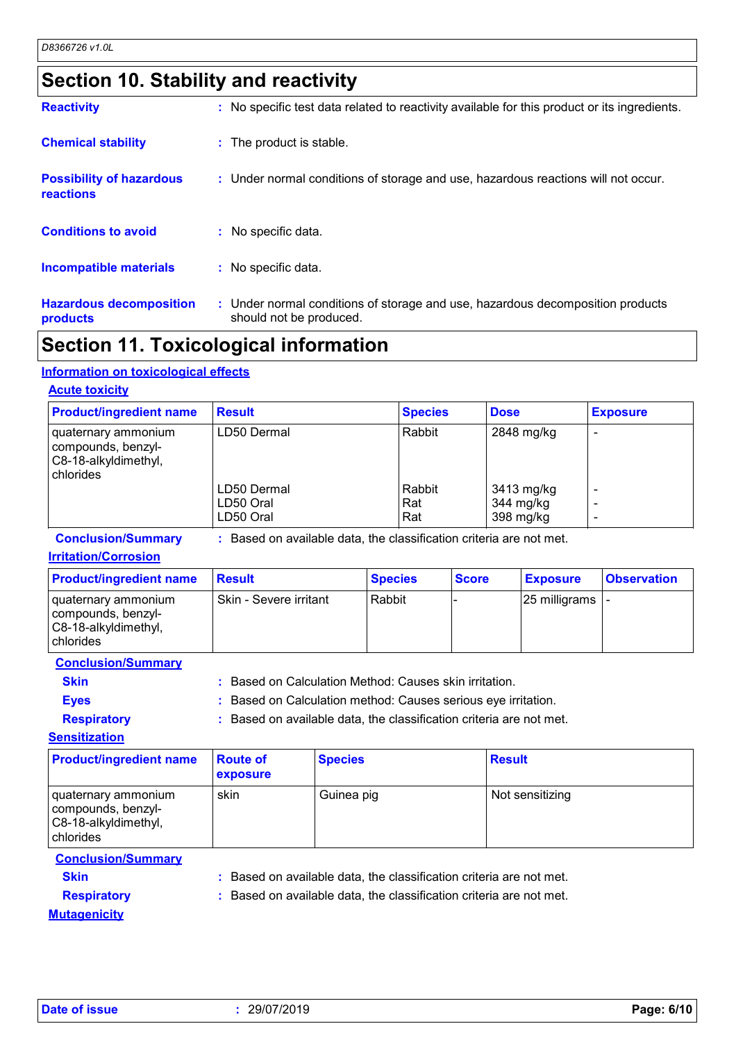### **Section 10. Stability and reactivity**

| <b>Hazardous decomposition</b><br>products   | : Under normal conditions of storage and use, hazardous decomposition products<br>should not be produced. |
|----------------------------------------------|-----------------------------------------------------------------------------------------------------------|
| <b>Incompatible materials</b>                | : No specific data.                                                                                       |
| <b>Conditions to avoid</b>                   | $:$ No specific data.                                                                                     |
| <b>Possibility of hazardous</b><br>reactions | : Under normal conditions of storage and use, hazardous reactions will not occur.                         |
| <b>Chemical stability</b>                    | : The product is stable.                                                                                  |
| <b>Reactivity</b>                            | : No specific test data related to reactivity available for this product or its ingredients.              |

### **Section 11. Toxicological information**

#### **Information on toxicological effects**

#### **Acute toxicity**

| <b>Product/ingredient name</b>                                                   | <b>Result</b>                         | <b>Species</b>       | <b>Dose</b>                          | <b>Exposure</b> |
|----------------------------------------------------------------------------------|---------------------------------------|----------------------|--------------------------------------|-----------------|
| I quaternary ammonium<br>compounds, benzyl-<br>C8-18-alkyldimethyl,<br>chlorides | LD50 Dermal                           | Rabbit               | 2848 mg/kg                           |                 |
|                                                                                  | LD50 Dermal<br>LD50 Oral<br>LD50 Oral | Rabbit<br>Rat<br>Rat | 3413 mg/kg<br>344 mg/kg<br>398 mg/kg |                 |

**Conclusion/Summary :** Based on available data, the classification criteria are not met.

#### **Irritation/Corrosion**

| <b>Product/ingredient name</b>                                                            | <b>Result</b>          | <b>Species</b> | <b>Score</b> | <b>Exposure</b>           | <b>Observation</b> |
|-------------------------------------------------------------------------------------------|------------------------|----------------|--------------|---------------------------|--------------------|
| I quaternary ammonium<br>  compounds, benzyl-<br>C8-18-alkyldimethyl,<br><b>chlorides</b> | Skin - Severe irritant | Rabbit         |              | $ 25 \text{ milligrams} $ |                    |

**Conclusion/Summary**

**Skin :** Based on Calculation Method: Causes skin irritation.

**Eyes :** Based on Calculation method: Causes serious eye irritation.

**Respiratory :** Based on available data, the classification criteria are not met.

**Sensitization**

| <b>Product/ingredient name</b>                                                 | <b>Route of</b><br><b>exposure</b> | <b>Species</b> | <b>Result</b>   |
|--------------------------------------------------------------------------------|------------------------------------|----------------|-----------------|
| quaternary ammonium<br>compounds, benzyl-<br>C8-18-alkyldimethyl,<br>chlorides | skin                               | Guinea pig     | Not sensitizing |

#### **Conclusion/Summary**

**Skin :** Based on available data, the classification criteria are not met.

**Respiratory :** Based on available data, the classification criteria are not met.

**Mutagenicity**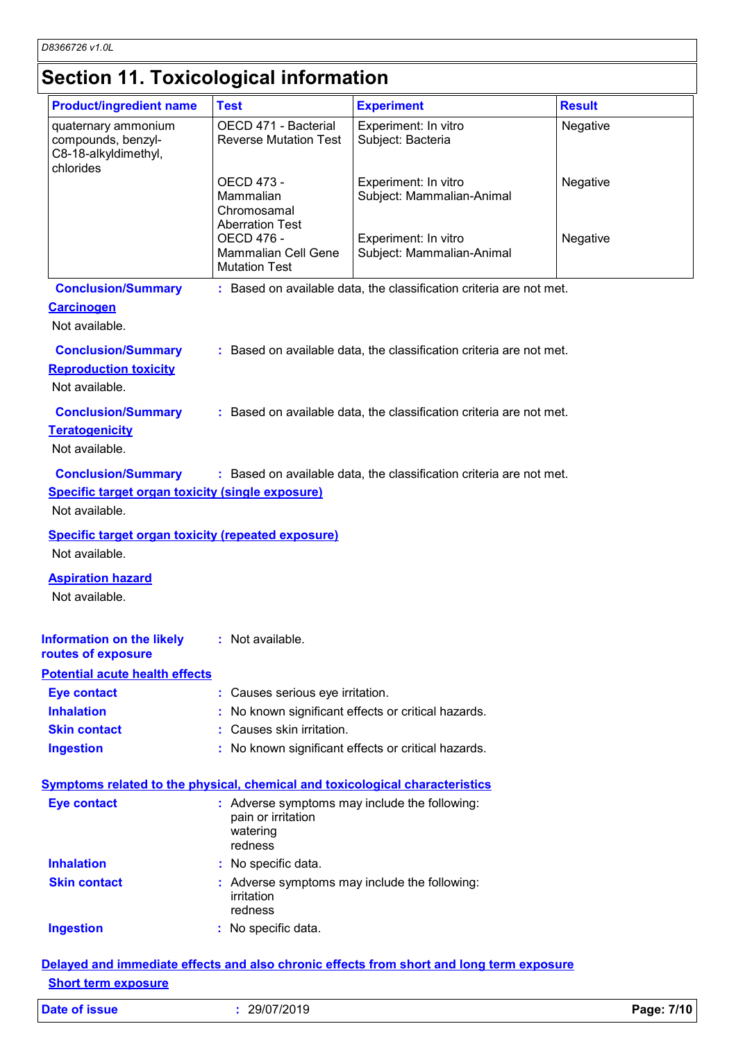# **Section 11. Toxicological information**

| <b>Product/ingredient name</b>                                                 | <b>Test</b>                                                                                | <b>Experiment</b>                                                            | <b>Result</b> |
|--------------------------------------------------------------------------------|--------------------------------------------------------------------------------------------|------------------------------------------------------------------------------|---------------|
| quaternary ammonium<br>compounds, benzyl-<br>C8-18-alkyldimethyl,<br>chlorides | OECD 471 - Bacterial<br><b>Reverse Mutation Test</b>                                       | Experiment: In vitro<br>Subject: Bacteria                                    | Negative      |
|                                                                                | OECD 473 -<br>Mammalian<br>Chromosamal<br><b>Aberration Test</b>                           | Experiment: In vitro<br>Subject: Mammalian-Animal                            | Negative      |
|                                                                                | <b>OECD 476 -</b><br><b>Mammalian Cell Gene</b><br><b>Mutation Test</b>                    | Experiment: In vitro<br>Subject: Mammalian-Animal                            | Negative      |
| <b>Conclusion/Summary</b>                                                      |                                                                                            | : Based on available data, the classification criteria are not met.          |               |
| <b>Carcinogen</b><br>Not available.                                            |                                                                                            |                                                                              |               |
| <b>Conclusion/Summary</b>                                                      |                                                                                            | : Based on available data, the classification criteria are not met.          |               |
| <b>Reproduction toxicity</b><br>Not available.                                 |                                                                                            |                                                                              |               |
| <b>Conclusion/Summary</b>                                                      |                                                                                            | : Based on available data, the classification criteria are not met.          |               |
| <b>Teratogenicity</b>                                                          |                                                                                            |                                                                              |               |
| Not available.                                                                 |                                                                                            |                                                                              |               |
| <b>Conclusion/Summary</b>                                                      |                                                                                            | : Based on available data, the classification criteria are not met.          |               |
| <b>Specific target organ toxicity (single exposure)</b>                        |                                                                                            |                                                                              |               |
| Not available.                                                                 |                                                                                            |                                                                              |               |
| <b>Specific target organ toxicity (repeated exposure)</b>                      |                                                                                            |                                                                              |               |
| Not available.                                                                 |                                                                                            |                                                                              |               |
| <b>Aspiration hazard</b><br>Not available.                                     |                                                                                            |                                                                              |               |
| Information on the likely<br>routes of exposure                                | : Not available.                                                                           |                                                                              |               |
| <b>Potential acute health effects</b>                                          |                                                                                            |                                                                              |               |
| <b>Eye contact</b>                                                             | : Causes serious eye irritation.                                                           |                                                                              |               |
| <b>Inhalation</b>                                                              |                                                                                            | No known significant effects or critical hazards.                            |               |
| <b>Skin contact</b>                                                            | Causes skin irritation.                                                                    |                                                                              |               |
| <b>Ingestion</b>                                                               |                                                                                            | : No known significant effects or critical hazards.                          |               |
|                                                                                |                                                                                            | Symptoms related to the physical, chemical and toxicological characteristics |               |
|                                                                                |                                                                                            |                                                                              |               |
| <b>Eye contact</b>                                                             | : Adverse symptoms may include the following:<br>pain or irritation<br>watering<br>redness |                                                                              |               |
| <b>Inhalation</b>                                                              | : No specific data.                                                                        |                                                                              |               |
| <b>Skin contact</b>                                                            | irritation<br>redness                                                                      | : Adverse symptoms may include the following:                                |               |

#### **Short term exposure**

| Date of issue | 29/07/2019 | Page: 7/10 |
|---------------|------------|------------|
|---------------|------------|------------|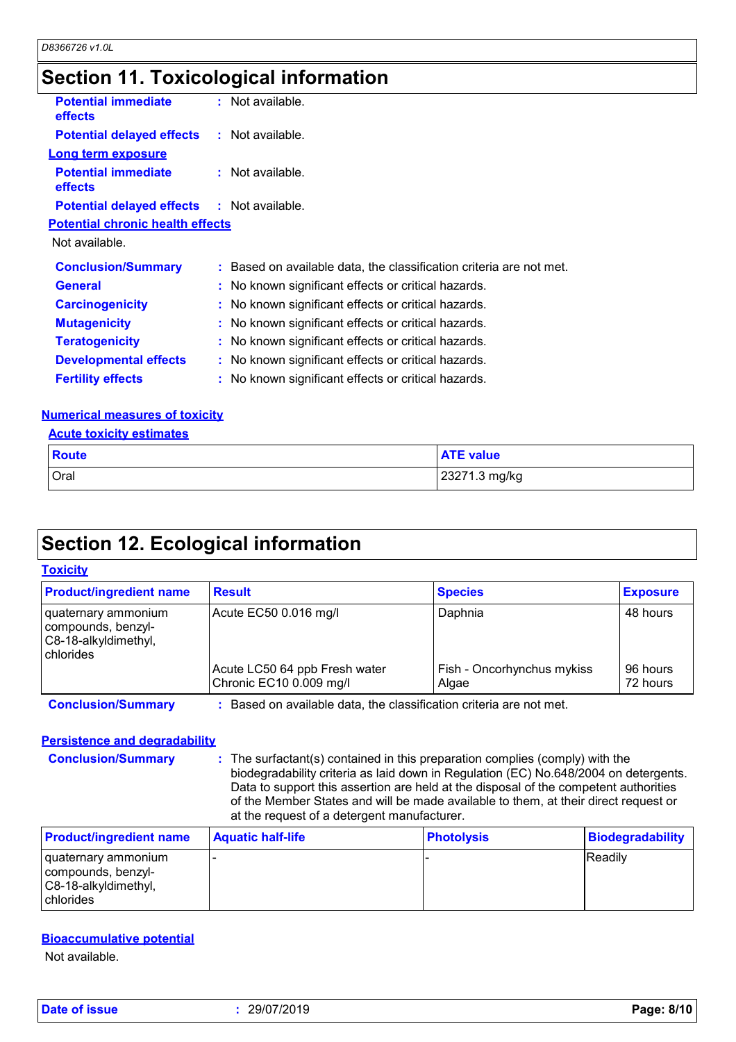### **Section 11. Toxicological information**

| <b>Potential immediate</b><br>effects             | $:$ Not available.                                                  |
|---------------------------------------------------|---------------------------------------------------------------------|
| <b>Potential delayed effects : Not available.</b> |                                                                     |
| <b>Long term exposure</b>                         |                                                                     |
| <b>Potential immediate</b><br><b>effects</b>      | : Not available.                                                    |
| <b>Potential delayed effects : Not available.</b> |                                                                     |
| <b>Potential chronic health effects</b>           |                                                                     |
| Not available.                                    |                                                                     |
| <b>Conclusion/Summary</b>                         | : Based on available data, the classification criteria are not met. |
| <b>General</b>                                    | : No known significant effects or critical hazards.                 |
| <b>Carcinogenicity</b>                            | : No known significant effects or critical hazards.                 |
| <b>Mutagenicity</b>                               | : No known significant effects or critical hazards.                 |
| <b>Teratogenicity</b>                             | : No known significant effects or critical hazards.                 |
| <b>Developmental effects</b>                      | : No known significant effects or critical hazards.                 |
| <b>Fertility effects</b>                          | : No known significant effects or critical hazards.                 |
|                                                   |                                                                     |

#### **Numerical measures of toxicity**

|  | <b>Acute toxicity estimates</b> |
|--|---------------------------------|
|  |                                 |

| Route | <b>ATE value</b> |
|-------|------------------|
| Oral  | 23271.3 mg/kg    |

# **Section 12. Ecological information**

#### **Toxicity**

| <b>Product/ingredient name</b>                                                 | <b>Result</b>                                                     | <b>Species</b>                      | <b>Exposure</b>      |
|--------------------------------------------------------------------------------|-------------------------------------------------------------------|-------------------------------------|----------------------|
| quaternary ammonium<br>compounds, benzyl-<br>C8-18-alkyldimethyl,<br>chlorides | Acute EC50 0.016 mg/l                                             | Daphnia                             | 48 hours             |
|                                                                                | Acute LC50 64 ppb Fresh water<br>Chronic EC10 0.009 mg/l          | Fish - Oncorhynchus mykiss<br>Algae | 96 hours<br>72 hours |
| <b>Conclusion/Summary</b>                                                      | Based on available data, the classification criteria are not met. |                                     |                      |

#### **Persistence and degradability**

**Conclusion/Summary :** The surfactant(s) contained in this preparation complies (comply) with the biodegradability criteria as laid down in Regulation (EC) No.648/2004 on detergents. Data to support this assertion are held at the disposal of the competent authorities of the Member States and will be made available to them, at their direct request or at the request of a detergent manufacturer.

| <b>Product/ingredient name</b>                                                    | <b>Aquatic half-life</b> | <b>Photolysis</b> | Biodegradability |
|-----------------------------------------------------------------------------------|--------------------------|-------------------|------------------|
| l quaternary ammonium<br>compounds, benzyl-<br>IC8-18-alkyldimethyl,<br>chlorides |                          |                   | <b>Readily</b>   |

#### **Bioaccumulative potential**

Not available.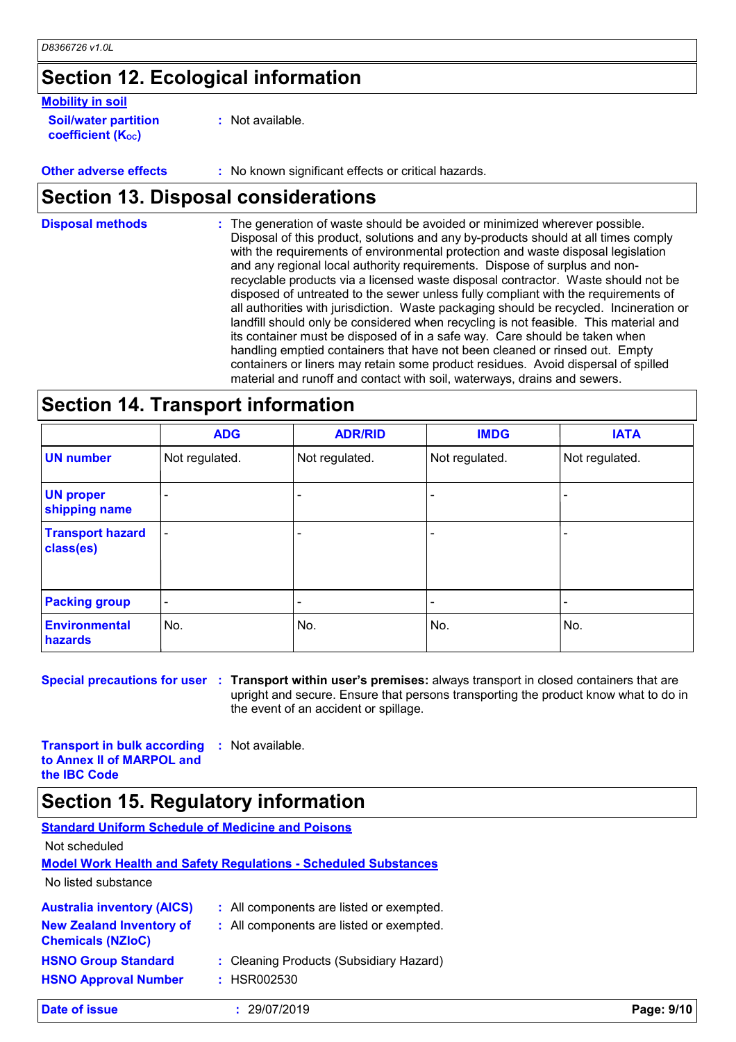# **Section 12. Ecological information**

#### **Mobility in soil**

**Soil/water partition coefficient (K**<sub>oc</sub>)

**:** Not available.

**Other adverse effects :** No known significant effects or critical hazards.

### **Section 13. Disposal considerations**

The generation of waste should be avoided or minimized wherever possible. Disposal of this product, solutions and any by-products should at all times comply with the requirements of environmental protection and waste disposal legislation and any regional local authority requirements. Dispose of surplus and nonrecyclable products via a licensed waste disposal contractor. Waste should not be disposed of untreated to the sewer unless fully compliant with the requirements of all authorities with jurisdiction. Waste packaging should be recycled. Incineration or landfill should only be considered when recycling is not feasible. This material and its container must be disposed of in a safe way. Care should be taken when handling emptied containers that have not been cleaned or rinsed out. Empty containers or liners may retain some product residues. Avoid dispersal of spilled material and runoff and contact with soil, waterways, drains and sewers. **Disposal methods :**

### **Section 14. Transport information**

|                                      | <b>ADG</b>               | <b>ADR/RID</b> | <b>IMDG</b>    | <b>IATA</b>    |  |
|--------------------------------------|--------------------------|----------------|----------------|----------------|--|
| <b>UN number</b>                     | Not regulated.           | Not regulated. | Not regulated. | Not regulated. |  |
| <b>UN proper</b><br>shipping name    | $\overline{\phantom{0}}$ |                |                |                |  |
| <b>Transport hazard</b><br>class(es) | $\overline{\phantom{a}}$ | ٠              |                |                |  |
| <b>Packing group</b>                 | $\overline{\phantom{a}}$ | ٠              |                |                |  |
| <b>Environmental</b><br>hazards      | No.                      | No.            | No.            | No.            |  |

**Special precautions for user Transport within user's premises:** always transport in closed containers that are **:** upright and secure. Ensure that persons transporting the product know what to do in the event of an accident or spillage.

**Transport in bulk according to Annex II of MARPOL and the IBC Code :** Not available.

### **Section 15. Regulatory information**

| <b>Standard Uniform Schedule of Medicine and Poisons</b>    |                                                                        |            |
|-------------------------------------------------------------|------------------------------------------------------------------------|------------|
| Not scheduled                                               |                                                                        |            |
|                                                             | <b>Model Work Health and Safety Requiations - Scheduled Substances</b> |            |
| No listed substance                                         |                                                                        |            |
| <b>Australia inventory (AICS)</b>                           | : All components are listed or exempted.                               |            |
| <b>New Zealand Inventory of</b><br><b>Chemicals (NZIoC)</b> | : All components are listed or exempted.                               |            |
| <b>HSNO Group Standard</b>                                  | : Cleaning Products (Subsidiary Hazard)                                |            |
| <b>HSNO Approval Number</b>                                 | : HSR002530                                                            |            |
| Date of issue                                               | 29/07/2019                                                             | Page: 9/10 |